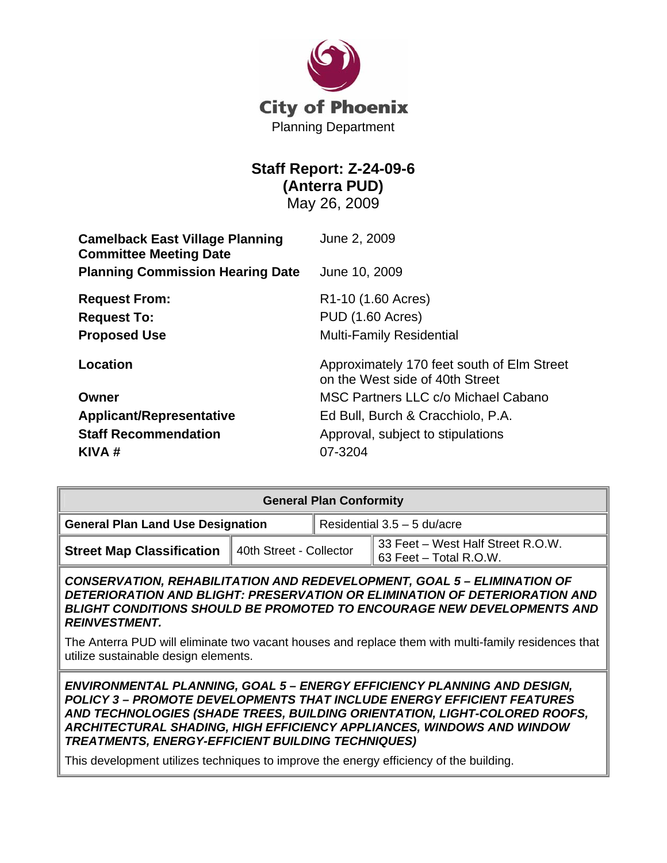

# **Staff Report: Z-24-09-6 (Anterra PUD)**  May 26, 2009

| <b>Camelback East Village Planning</b><br><b>Committee Meeting Date</b> | June 2, 2009                                                                  |
|-------------------------------------------------------------------------|-------------------------------------------------------------------------------|
| <b>Planning Commission Hearing Date</b>                                 | June 10, 2009                                                                 |
| <b>Request From:</b>                                                    | R <sub>1</sub> -10 (1.60 Acres)                                               |
| <b>Request To:</b>                                                      | <b>PUD (1.60 Acres)</b>                                                       |
| <b>Proposed Use</b>                                                     | <b>Multi-Family Residential</b>                                               |
| Location                                                                | Approximately 170 feet south of Elm Street<br>on the West side of 40th Street |
| Owner                                                                   | MSC Partners LLC c/o Michael Cabano                                           |
| <b>Applicant/Representative</b>                                         | Ed Bull, Burch & Cracchiolo, P.A.                                             |
| <b>Staff Recommendation</b>                                             | Approval, subject to stipulations                                             |
| KIVA#                                                                   | 07-3204                                                                       |

| <b>General Plan Conformity</b>                                                 |                         |                             |                                                             |  |  |
|--------------------------------------------------------------------------------|-------------------------|-----------------------------|-------------------------------------------------------------|--|--|
| <b>General Plan Land Use Designation</b>                                       |                         | Residential 3.5 - 5 du/acre |                                                             |  |  |
| <b>Street Map Classification</b>                                               | 40th Street - Collector |                             | 33 Feet - West Half Street R.O.W.<br>63 Feet - Total R.O.W. |  |  |
| <b>CONSERVATION, REHABILITATION AND REDEVELOPMENT, GOAL 5 - ELIMINATION OF</b> |                         |                             |                                                             |  |  |

*DETERIORATION AND BLIGHT: PRESERVATION OR ELIMINATION OF DETERIORATION AND BLIGHT CONDITIONS SHOULD BE PROMOTED TO ENCOURAGE NEW DEVELOPMENTS AND REINVESTMENT.* 

The Anterra PUD will eliminate two vacant houses and replace them with multi-family residences that utilize sustainable design elements.

*ENVIRONMENTAL PLANNING, GOAL 5 – ENERGY EFFICIENCY PLANNING AND DESIGN, POLICY 3 – PROMOTE DEVELOPMENTS THAT INCLUDE ENERGY EFFICIENT FEATURES AND TECHNOLOGIES (SHADE TREES, BUILDING ORIENTATION, LIGHT-COLORED ROOFS, ARCHITECTURAL SHADING, HIGH EFFICIENCY APPLIANCES, WINDOWS AND WINDOW TREATMENTS, ENERGY-EFFICIENT BUILDING TECHNIQUES)* 

This development utilizes techniques to improve the energy efficiency of the building.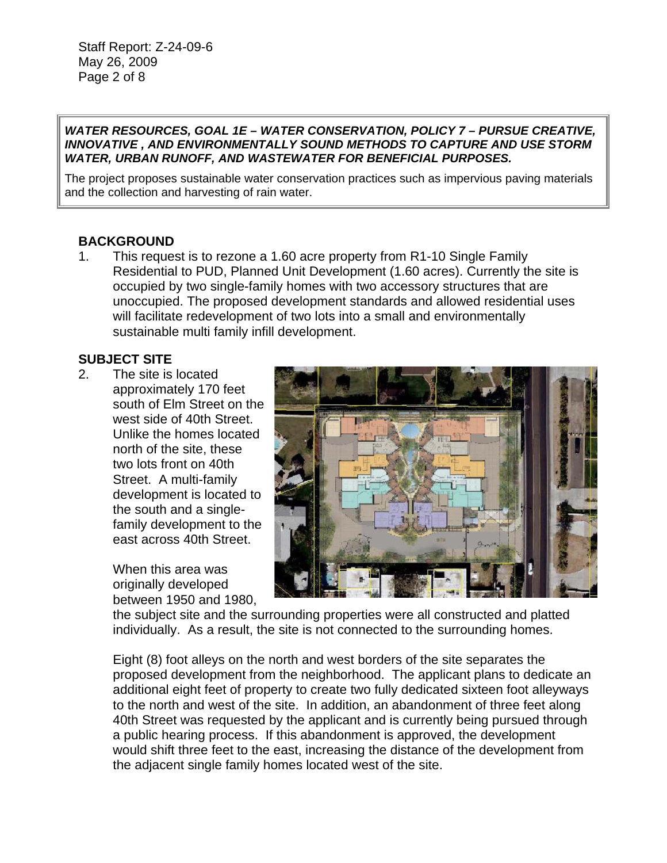### *WATER RESOURCES, GOAL 1E – WATER CONSERVATION, POLICY 7 – PURSUE CREATIVE, INNOVATIVE , AND ENVIRONMENTALLY SOUND METHODS TO CAPTURE AND USE STORM WATER, URBAN RUNOFF, AND WASTEWATER FOR BENEFICIAL PURPOSES.*

The project proposes sustainable water conservation practices such as impervious paving materials and the collection and harvesting of rain water.

# **BACKGROUND**

1. This request is to rezone a 1.60 acre property from R1-10 Single Family Residential to PUD, Planned Unit Development (1.60 acres). Currently the site is occupied by two single-family homes with two accessory structures that are unoccupied. The proposed development standards and allowed residential uses will facilitate redevelopment of two lots into a small and environmentally sustainable multi family infill development.

# **SUBJECT SITE**

2. The site is located approximately 170 feet south of Elm Street on the west side of 40th Street. Unlike the homes located north of the site, these two lots front on 40th Street. A multi-family development is located to the south and a singlefamily development to the east across 40th Street.

> When this area was originally developed between 1950 and 1980,



the subject site and the surrounding properties were all constructed and platted individually. As a result, the site is not connected to the surrounding homes.

Eight (8) foot alleys on the north and west borders of the site separates the proposed development from the neighborhood. The applicant plans to dedicate an additional eight feet of property to create two fully dedicated sixteen foot alleyways to the north and west of the site. In addition, an abandonment of three feet along 40th Street was requested by the applicant and is currently being pursued through a public hearing process. If this abandonment is approved, the development would shift three feet to the east, increasing the distance of the development from the adjacent single family homes located west of the site.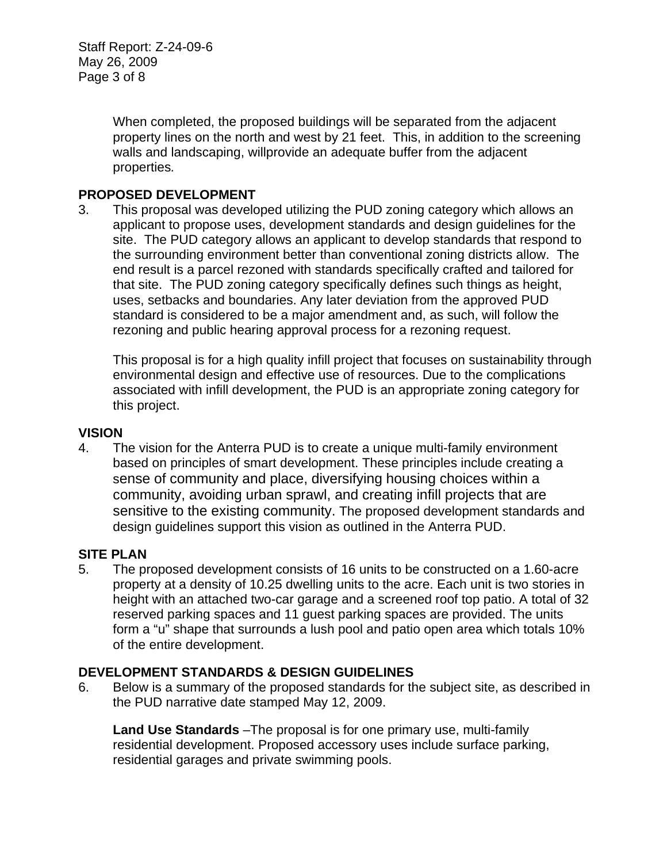When completed, the proposed buildings will be separated from the adjacent property lines on the north and west by 21 feet. This, in addition to the screening walls and landscaping, willprovide an adequate buffer from the adjacent properties*.*

# **PROPOSED DEVELOPMENT**

3. This proposal was developed utilizing the PUD zoning category which allows an applicant to propose uses, development standards and design guidelines for the site. The PUD category allows an applicant to develop standards that respond to the surrounding environment better than conventional zoning districts allow. The end result is a parcel rezoned with standards specifically crafted and tailored for that site. The PUD zoning category specifically defines such things as height, uses, setbacks and boundaries. Any later deviation from the approved PUD standard is considered to be a major amendment and, as such, will follow the rezoning and public hearing approval process for a rezoning request.

This proposal is for a high quality infill project that focuses on sustainability through environmental design and effective use of resources. Due to the complications associated with infill development, the PUD is an appropriate zoning category for this project.

# **VISION**

4. The vision for the Anterra PUD is to create a unique multi-family environment based on principles of smart development. These principles include creating a sense of community and place, diversifying housing choices within a community, avoiding urban sprawl, and creating infill projects that are sensitive to the existing community. The proposed development standards and design guidelines support this vision as outlined in the Anterra PUD.

# **SITE PLAN**

5. The proposed development consists of 16 units to be constructed on a 1.60-acre property at a density of 10.25 dwelling units to the acre. Each unit is two stories in height with an attached two-car garage and a screened roof top patio. A total of 32 reserved parking spaces and 11 guest parking spaces are provided. The units form a "u" shape that surrounds a lush pool and patio open area which totals 10% of the entire development.

# **DEVELOPMENT STANDARDS & DESIGN GUIDELINES**

6. Below is a summary of the proposed standards for the subject site, as described in the PUD narrative date stamped May 12, 2009.

**Land Use Standards** –The proposal is for one primary use, multi-family residential development. Proposed accessory uses include surface parking, residential garages and private swimming pools.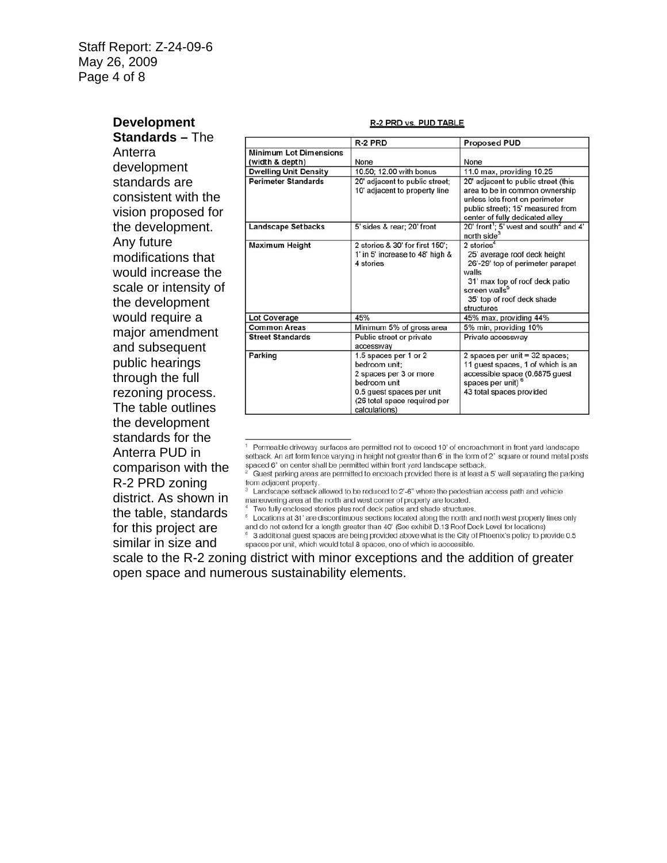Staff Report: Z-24-09-6 May 26, 2009 Page 4 of 8

# **Development**

**Standards –** The Anterra development standards are consistent with the vision proposed for the development. Any future modifications that would increase the scale or intensity of the development would require a major amendment and subsequent public hearings through the full rezoning process. The table outlines the development standards for the Anterra PUD in comparison with the R-2 PRD zoning district. As shown in the table, standards for this project are similar in size and

### R-2 PRD vs. PUD TABLE

|                               | R-2 PRD                         | <b>Proposed PUD</b>                                            |
|-------------------------------|---------------------------------|----------------------------------------------------------------|
| <b>Minimum Lot Dimensions</b> |                                 |                                                                |
| (width & depth)               | None                            | None                                                           |
| <b>Dwelling Unit Density</b>  | 10.50; 12.00 with bonus         | 11.0 max, providing 10.25                                      |
| <b>Perimeter Standards</b>    | 20' adjacent to public street;  | 20' adjacent to public street (this                            |
|                               | 10' adjacent to property line   | area to be in common ownership                                 |
|                               |                                 | unless lots front on perimeter                                 |
|                               |                                 | public street); 15' measured from                              |
|                               |                                 | center of fully dedicated alley                                |
| <b>Landscape Setbacks</b>     | 5' sides & rear; 20' front      | 20' front <sup>1</sup> ; 5' west and south <sup>2</sup> and 4' |
|                               |                                 | north side <sup>3</sup>                                        |
| <b>Maximum Height</b>         | 2 stories & 30' for first 150'; | 2 stories <sup>4</sup>                                         |
|                               | 1' in 5' increase to 48' high & | 25' average roof deck height                                   |
|                               | 4 stories                       | 26'-29' top of perimeter parapet                               |
|                               |                                 | walls                                                          |
|                               |                                 | 31' max top of roof deck patio                                 |
|                               |                                 | screen walls <sup>5</sup>                                      |
|                               |                                 | 35' top of roof deck shade                                     |
|                               |                                 | structures                                                     |
| Lot Coverage                  | 45%                             | 45% max, providing 44%                                         |
| <b>Common Areas</b>           | Minimum 5% of gross area        | 5% min, providing 10%                                          |
| <b>Street Standards</b>       | Public street or private        | Private accessway                                              |
|                               | accessway                       |                                                                |
| Parking                       | 1.5 spaces per 1 or 2           | 2 spaces per unit = 32 spaces;                                 |
|                               | bedroom unit:                   | 11 guest spaces, 1 of which is an                              |
|                               | 2 spaces per 3 or more          | accessible space (0.6875 guest                                 |
|                               | bedroom unit                    | spaces per unit) <sup>6</sup>                                  |
|                               | 0.5 guest spaces per unit       | 43 total spaces provided                                       |
|                               | (26 total space required per    |                                                                |
|                               | calculations)                   |                                                                |

<sup>&</sup>lt;sup>1</sup> Permeable driveway surfaces are permitted not to exceed 10' of encroachment in front yard landscape setback. An art form fence varying in height not greater than 6' in the form of 2" square or round metal posts spaced 6" on center shall be permitted within front yard landscape setback.

scale to the R-2 zoning district with minor exceptions and the addition of greater open space and numerous sustainability elements.

Guest parking areas are permitted to encroach provided there is at least a 5' wall separating the parking from adjacent property.

Landscape setback allowed to be reduced to 2'-6" where the pedestrian access path and vehicle

maneuvering area at the north and west corner of property are located.

Two fully enclosed stories plus roof deck patios and shade structures.

Locations at 31' are discontinuous sections located along the north and north west property lines only and do not extend for a length greater than 40' (See exhibit D.13 Roof Deck Level for locations)

<sup>3</sup> additional guest spaces are being provided above what is the City of Phoenix's policy to provide 0.5

spaces per unit, which would total 8 spaces, one of which is accessible.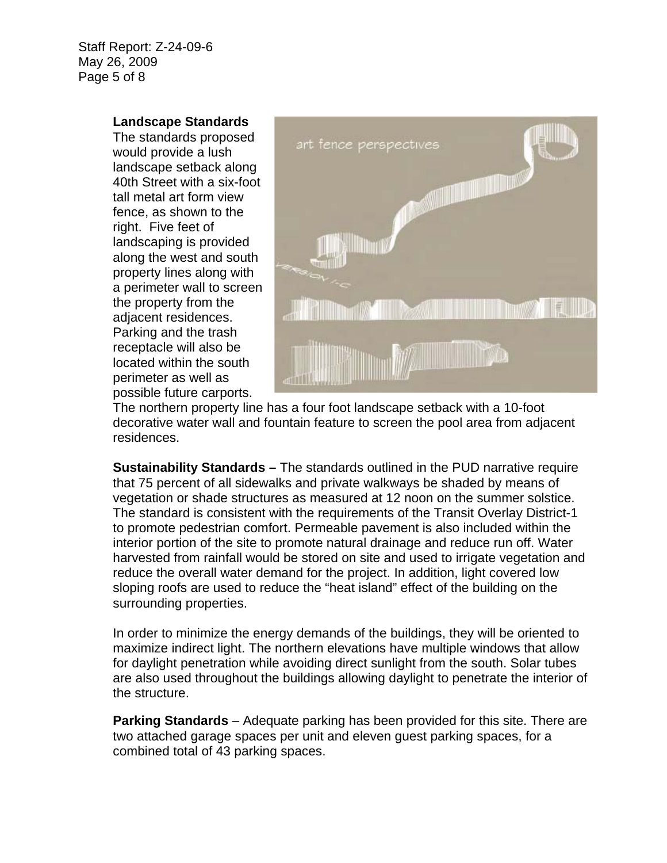Staff Report: Z-24-09-6 May 26, 2009 Page 5 of 8

## **Landscape Standards**

The standards proposed would provide a lush landscape setback along 40th Street with a six-foot tall metal art form view fence, as shown to the right. Five feet of landscaping is provided along the west and south property lines along with a perimeter wall to screen the property from the adjacent residences. Parking and the trash receptacle will also be located within the south perimeter as well as possible future carports.



The northern property line has a four foot landscape setback with a 10-foot decorative water wall and fountain feature to screen the pool area from adjacent residences.

**Sustainability Standards –** The standards outlined in the PUD narrative require that 75 percent of all sidewalks and private walkways be shaded by means of vegetation or shade structures as measured at 12 noon on the summer solstice. The standard is consistent with the requirements of the Transit Overlay District-1 to promote pedestrian comfort. Permeable pavement is also included within the interior portion of the site to promote natural drainage and reduce run off. Water harvested from rainfall would be stored on site and used to irrigate vegetation and reduce the overall water demand for the project. In addition, light covered low sloping roofs are used to reduce the "heat island" effect of the building on the surrounding properties.

In order to minimize the energy demands of the buildings, they will be oriented to maximize indirect light. The northern elevations have multiple windows that allow for daylight penetration while avoiding direct sunlight from the south. Solar tubes are also used throughout the buildings allowing daylight to penetrate the interior of the structure.

**Parking Standards** – Adequate parking has been provided for this site. There are two attached garage spaces per unit and eleven guest parking spaces, for a combined total of 43 parking spaces.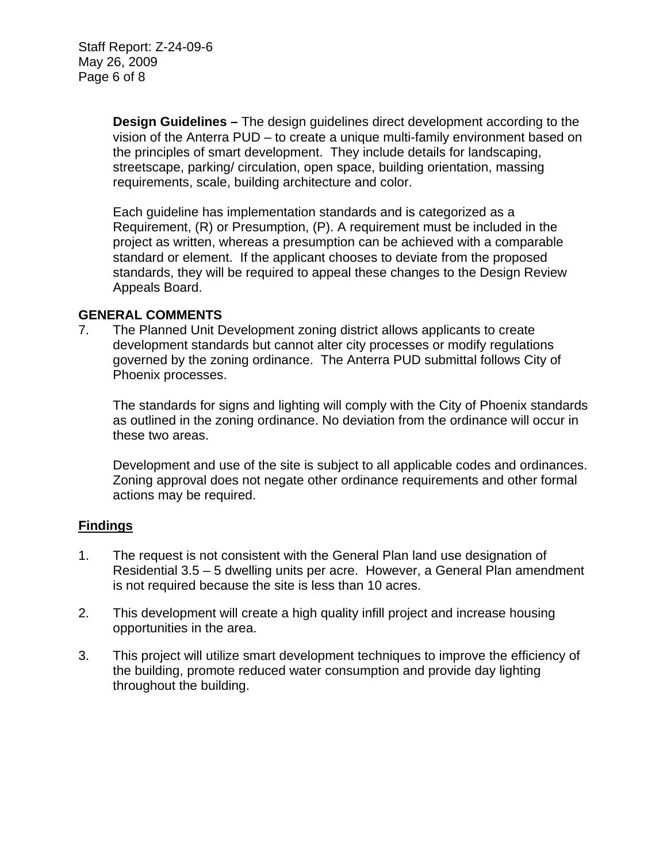**Design Guidelines –** The design guidelines direct development according to the vision of the Anterra PUD – to create a unique multi-family environment based on the principles of smart development. They include details for landscaping, streetscape, parking/ circulation, open space, building orientation, massing requirements, scale, building architecture and color.

Each guideline has implementation standards and is categorized as a Requirement, (R) or Presumption, (P). A requirement must be included in the project as written, whereas a presumption can be achieved with a comparable standard or element. If the applicant chooses to deviate from the proposed standards, they will be required to appeal these changes to the Design Review Appeals Board.

# **GENERAL COMMENTS**

7. The Planned Unit Development zoning district allows applicants to create development standards but cannot alter city processes or modify regulations governed by the zoning ordinance. The Anterra PUD submittal follows City of Phoenix processes.

The standards for signs and lighting will comply with the City of Phoenix standards as outlined in the zoning ordinance. No deviation from the ordinance will occur in these two areas.

Development and use of the site is subject to all applicable codes and ordinances. Zoning approval does not negate other ordinance requirements and other formal actions may be required.

# **Findings**

- 1. The request is not consistent with the General Plan land use designation of Residential 3.5 – 5 dwelling units per acre. However, a General Plan amendment is not required because the site is less than 10 acres.
- 2. This development will create a high quality infill project and increase housing opportunities in the area.
- 3. This project will utilize smart development techniques to improve the efficiency of the building, promote reduced water consumption and provide day lighting throughout the building.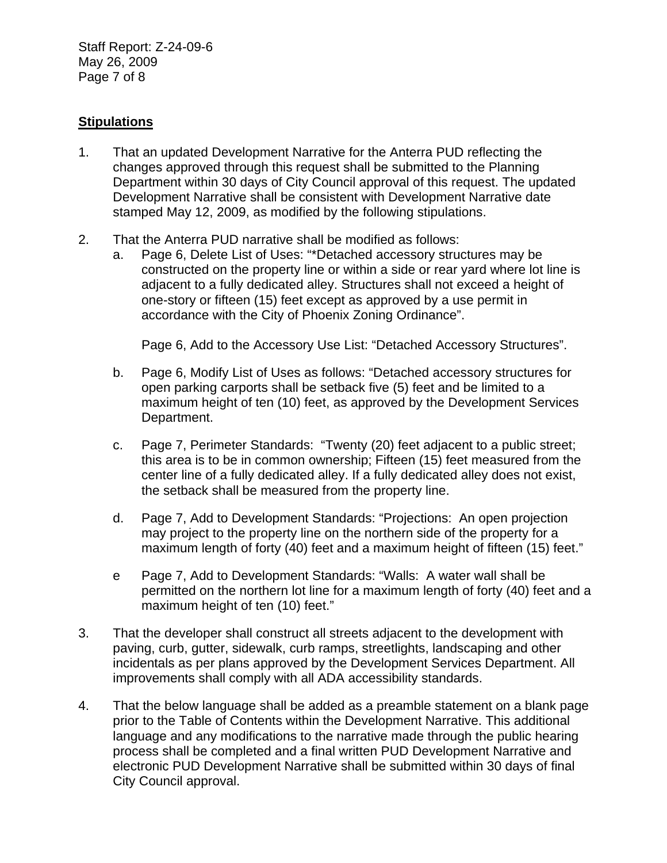Staff Report: Z-24-09-6 May 26, 2009 Page 7 of 8

# **Stipulations**

- 1. That an updated Development Narrative for the Anterra PUD reflecting the changes approved through this request shall be submitted to the Planning Department within 30 days of City Council approval of this request. The updated Development Narrative shall be consistent with Development Narrative date stamped May 12, 2009, as modified by the following stipulations.
- 2. That the Anterra PUD narrative shall be modified as follows:
	- a. Page 6, Delete List of Uses: "\*Detached accessory structures may be constructed on the property line or within a side or rear yard where lot line is adjacent to a fully dedicated alley. Structures shall not exceed a height of one-story or fifteen (15) feet except as approved by a use permit in accordance with the City of Phoenix Zoning Ordinance".

Page 6, Add to the Accessory Use List: "Detached Accessory Structures".

- b. Page 6, Modify List of Uses as follows: "Detached accessory structures for open parking carports shall be setback five (5) feet and be limited to a maximum height of ten (10) feet, as approved by the Development Services Department.
- c. Page 7, Perimeter Standards: "Twenty (20) feet adjacent to a public street; this area is to be in common ownership; Fifteen (15) feet measured from the center line of a fully dedicated alley. If a fully dedicated alley does not exist, the setback shall be measured from the property line.
- d. Page 7, Add to Development Standards: "Projections: An open projection may project to the property line on the northern side of the property for a maximum length of forty (40) feet and a maximum height of fifteen (15) feet."
- e Page 7, Add to Development Standards: "Walls: A water wall shall be permitted on the northern lot line for a maximum length of forty (40) feet and a maximum height of ten (10) feet."
- 3. That the developer shall construct all streets adjacent to the development with paving, curb, gutter, sidewalk, curb ramps, streetlights, landscaping and other incidentals as per plans approved by the Development Services Department. All improvements shall comply with all ADA accessibility standards.
- 4. That the below language shall be added as a preamble statement on a blank page prior to the Table of Contents within the Development Narrative. This additional language and any modifications to the narrative made through the public hearing process shall be completed and a final written PUD Development Narrative and electronic PUD Development Narrative shall be submitted within 30 days of final City Council approval.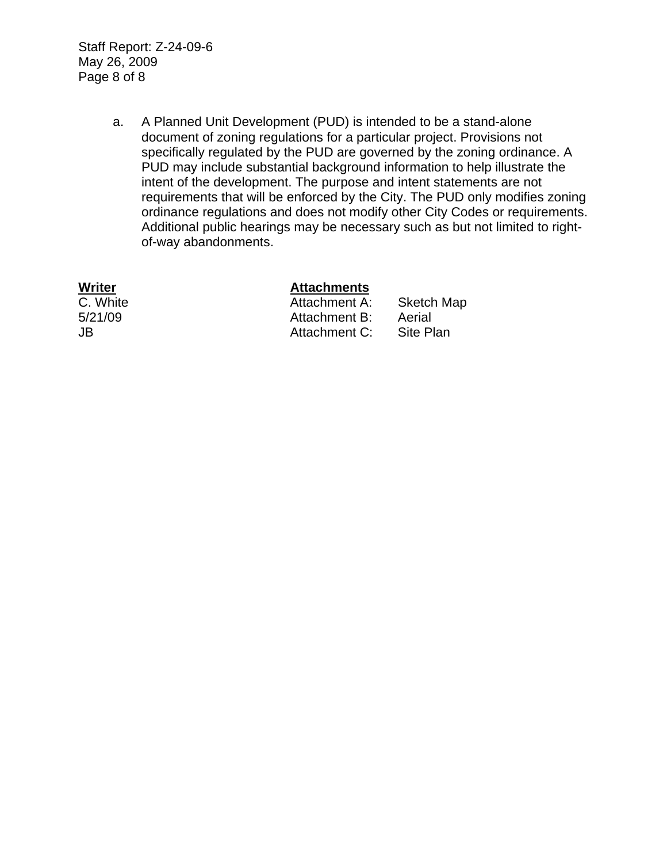Staff Report: Z-24-09-6 May 26, 2009 Page 8 of 8

> a. A Planned Unit Development (PUD) is intended to be a stand-alone document of zoning regulations for a particular project. Provisions not specifically regulated by the PUD are governed by the zoning ordinance. A PUD may include substantial background information to help illustrate the intent of the development. The purpose and intent statements are not requirements that will be enforced by the City. The PUD only modifies zoning ordinance regulations and does not modify other City Codes or requirements. Additional public hearings may be necessary such as but not limited to rightof-way abandonments.

**Writer**<br> **C.** White **Attachment A:** Attachment A: Attachment A: Sketch Map 5/21/09 Attachment B: Aerial JB Attachment C: Site Plan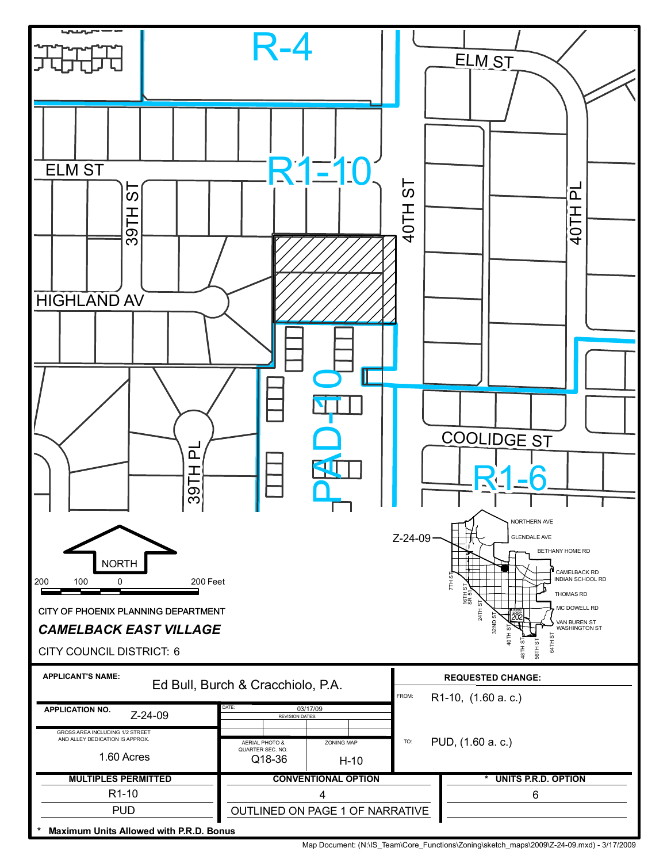

Map Document: (N:\IS\_Team\Core\_Functions\Zoning\sketch\_maps\2009\Z-24-09.mxd) - 3/17/2009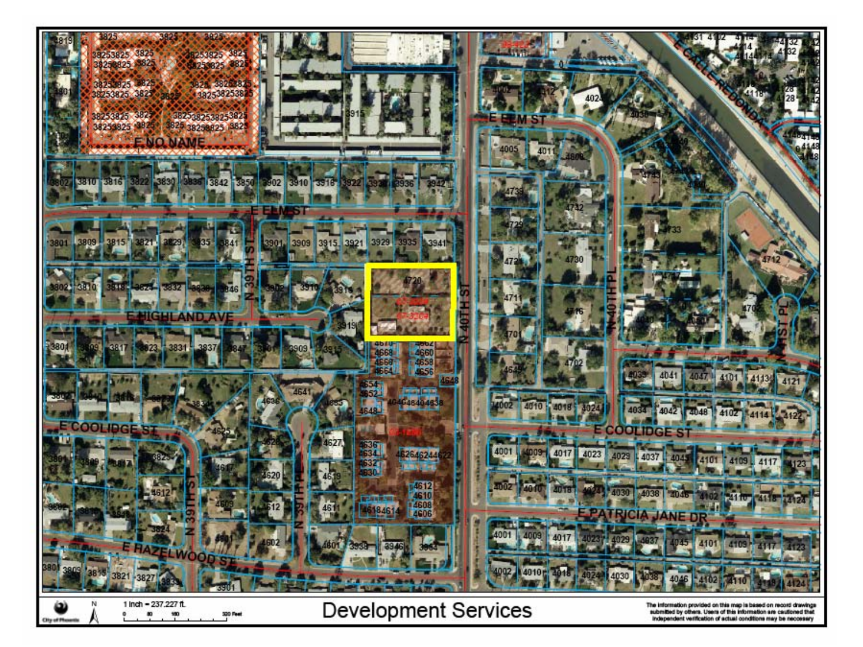